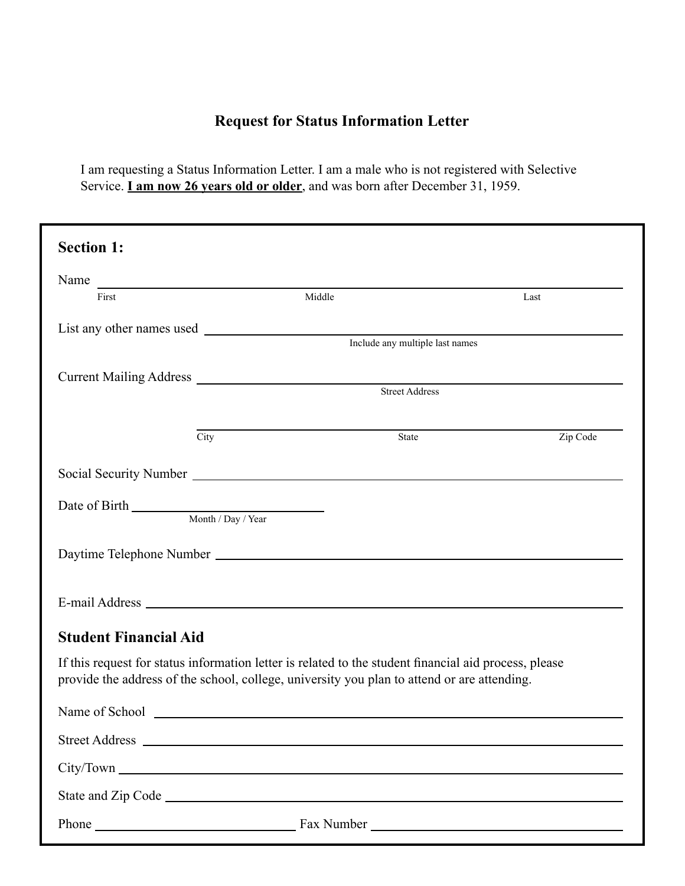## **Request for Status Information Letter**

I am requesting a Status Information Letter. I am a male who is not registered with Selective Service. **I am now 26 years old or older**, and was born after December 31, 1959.

| <b>Section 1:</b>            |                                                                                                                                                                                                      |          |  |  |
|------------------------------|------------------------------------------------------------------------------------------------------------------------------------------------------------------------------------------------------|----------|--|--|
|                              | Name                                                                                                                                                                                                 |          |  |  |
| First                        | Middle                                                                                                                                                                                               | Last     |  |  |
|                              |                                                                                                                                                                                                      |          |  |  |
|                              | Include any multiple last names                                                                                                                                                                      |          |  |  |
|                              |                                                                                                                                                                                                      |          |  |  |
|                              | <b>Street Address</b>                                                                                                                                                                                |          |  |  |
| City                         | State                                                                                                                                                                                                | Zip Code |  |  |
|                              |                                                                                                                                                                                                      |          |  |  |
|                              |                                                                                                                                                                                                      |          |  |  |
|                              |                                                                                                                                                                                                      |          |  |  |
|                              |                                                                                                                                                                                                      |          |  |  |
|                              |                                                                                                                                                                                                      |          |  |  |
|                              |                                                                                                                                                                                                      |          |  |  |
|                              |                                                                                                                                                                                                      |          |  |  |
| <b>Student Financial Aid</b> |                                                                                                                                                                                                      |          |  |  |
|                              | If this request for status information letter is related to the student financial aid process, please<br>provide the address of the school, college, university you plan to attend or are attending. |          |  |  |
|                              |                                                                                                                                                                                                      |          |  |  |
|                              |                                                                                                                                                                                                      |          |  |  |
|                              |                                                                                                                                                                                                      |          |  |  |
|                              |                                                                                                                                                                                                      |          |  |  |
|                              |                                                                                                                                                                                                      |          |  |  |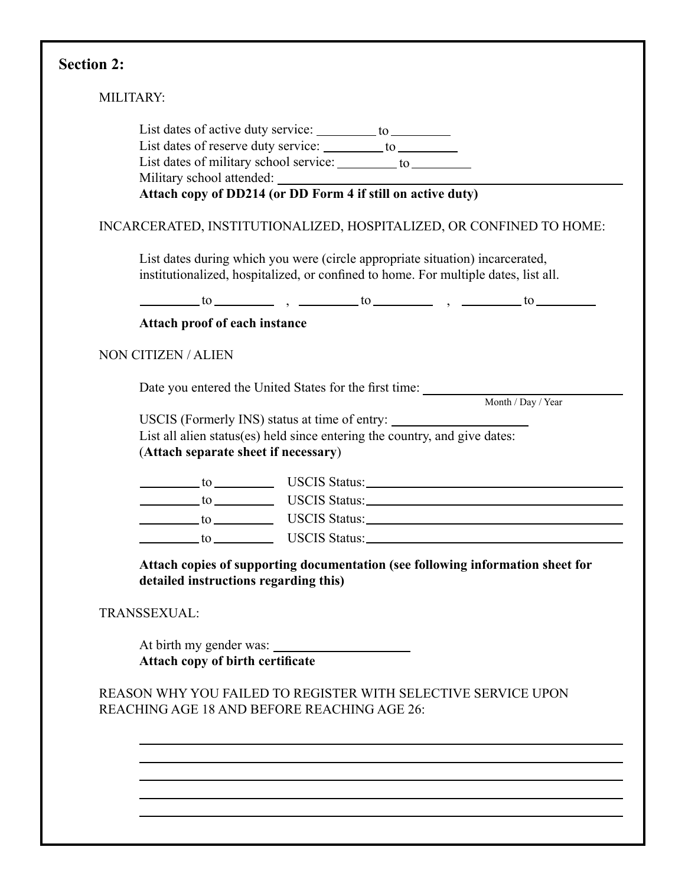# **Section 2:**

|                                                             | List dates of reserve duty service: ________ to _________                                                                                                            |                    |
|-------------------------------------------------------------|----------------------------------------------------------------------------------------------------------------------------------------------------------------------|--------------------|
|                                                             | List dates of military school service: ________ to ________                                                                                                          |                    |
|                                                             | Military school attended:<br>Attach copy of DD214 (or DD Form 4 if still on active duty)                                                                             |                    |
|                                                             | INCARCERATED, INSTITUTIONALIZED, HOSPITALIZED, OR CONFINED TO HOME:                                                                                                  |                    |
|                                                             | List dates during which you were (circle appropriate situation) incarcerated,<br>institutionalized, hospitalized, or confined to home. For multiple dates, list all. |                    |
|                                                             | $\frac{1}{2}$ to $\frac{1}{2}$ , $\frac{1}{2}$ to $\frac{1}{2}$ , $\frac{1}{2}$ to $\frac{1}{2}$                                                                     |                    |
| Attach proof of each instance                               |                                                                                                                                                                      |                    |
| NON CITIZEN / ALIEN                                         |                                                                                                                                                                      |                    |
|                                                             | Date you entered the United States for the first time: __________________________                                                                                    |                    |
|                                                             |                                                                                                                                                                      | Month / Day / Year |
|                                                             | USCIS (Formerly INS) status at time of entry:                                                                                                                        |                    |
|                                                             |                                                                                                                                                                      |                    |
|                                                             | List all alien status(es) held since entering the country, and give dates:                                                                                           |                    |
| (Attach separate sheet if necessary)                        |                                                                                                                                                                      |                    |
|                                                             | to USCIS Status:                                                                                                                                                     |                    |
|                                                             |                                                                                                                                                                      |                    |
|                                                             | to USCIS Status:                                                                                                                                                     |                    |
|                                                             | to USCIS Status:                                                                                                                                                     |                    |
| detailed instructions regarding this)                       | Attach copies of supporting documentation (see following information sheet for                                                                                       |                    |
| TRANSSEXUAL:                                                |                                                                                                                                                                      |                    |
| At birth my gender was:<br>Attach copy of birth certificate |                                                                                                                                                                      |                    |
|                                                             |                                                                                                                                                                      |                    |
|                                                             | REASON WHY YOU FAILED TO REGISTER WITH SELECTIVE SERVICE UPON<br>REACHING AGE 18 AND BEFORE REACHING AGE 26:                                                         |                    |
|                                                             |                                                                                                                                                                      |                    |
|                                                             |                                                                                                                                                                      |                    |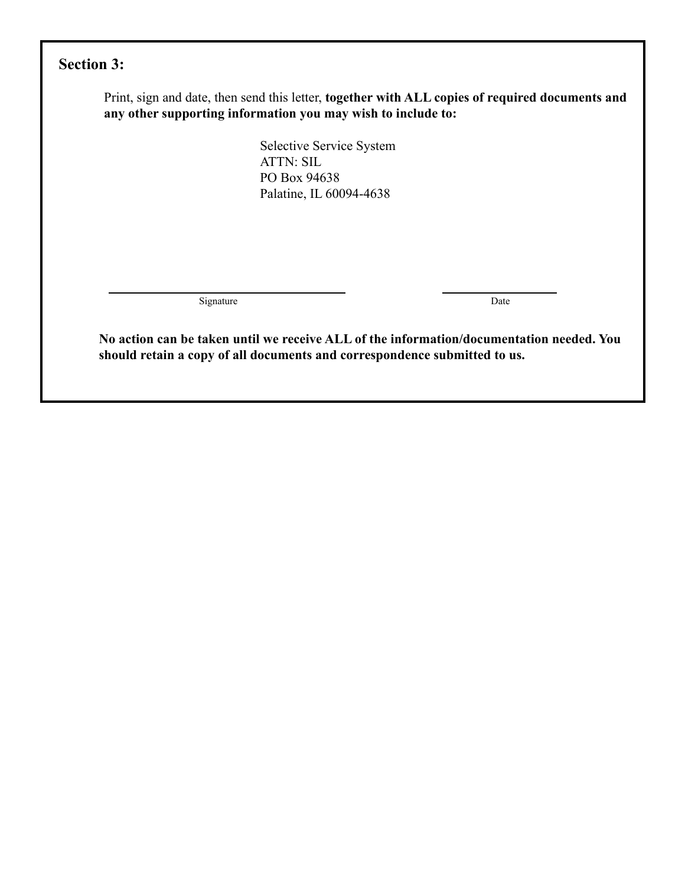## **Section 3:**

Print, sign and date, then send this letter, **together with ALL copies of required documents and any other supporting information you may wish to include to:**

> Selective Service System ATTN: SIL PO Box 94638 Palatine, IL 60094-4638

Signature Date

**No action can be taken until we receive ALL of the information/documentation needed. You should retain a copy of all documents and correspondence submitted to us.**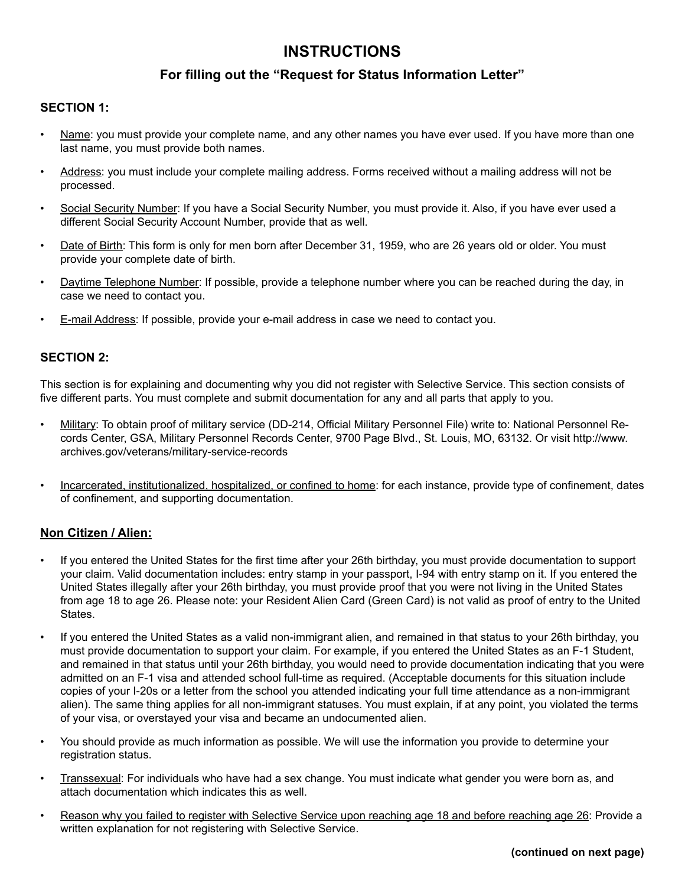### **INSTRUCTIONS**

#### **For filling out the "Request for Status Information Letter"**

#### **SECTION 1:**

- Name: you must provide your complete name, and any other names you have ever used. If you have more than one last name, you must provide both names.
- Address: you must include your complete mailing address. Forms received without a mailing address will not be processed.
- Social Security Number: If you have a Social Security Number, you must provide it. Also, if you have ever used a different Social Security Account Number, provide that as well.
- Date of Birth: This form is only for men born after December 31, 1959, who are 26 years old or older. You must provide your complete date of birth.
- Daytime Telephone Number: If possible, provide a telephone number where you can be reached during the day, in case we need to contact you.
- E-mail Address: If possible, provide your e-mail address in case we need to contact you.

#### **SECTION 2:**

This section is for explaining and documenting why you did not register with Selective Service. This section consists of five different parts. You must complete and submit documentation for any and all parts that apply to you.

- Military: To obtain proof of military service (DD-214, Official Military Personnel File) write to: National Personnel Records Center, GSA, Military Personnel Records Center, 9700 Page Blvd., St. Louis, MO, 63132. Or visit http://www. archives.gov/veterans/military-service-records
- Incarcerated, institutionalized, hospitalized, or confined to home: for each instance, provide type of confinement, dates of confinement, and supporting documentation.

#### **Non Citizen / Alien:**

- If you entered the United States for the first time after your 26th birthday, you must provide documentation to support your claim. Valid documentation includes: entry stamp in your passport, I-94 with entry stamp on it. If you entered the United States illegally after your 26th birthday, you must provide proof that you were not living in the United States from age 18 to age 26. Please note: your Resident Alien Card (Green Card) is not valid as proof of entry to the United States.
- If you entered the United States as a valid non-immigrant alien, and remained in that status to your 26th birthday, you must provide documentation to support your claim. For example, if you entered the United States as an F-1 Student, and remained in that status until your 26th birthday, you would need to provide documentation indicating that you were admitted on an F-1 visa and attended school full-time as required. (Acceptable documents for this situation include copies of your I-20s or a letter from the school you attended indicating your full time attendance as a non-immigrant alien). The same thing applies for all non-immigrant statuses. You must explain, if at any point, you violated the terms of your visa, or overstayed your visa and became an undocumented alien.
- You should provide as much information as possible. We will use the information you provide to determine your registration status.
- Transsexual: For individuals who have had a sex change. You must indicate what gender you were born as, and attach documentation which indicates this as well.
- Reason why you failed to register with Selective Service upon reaching age 18 and before reaching age 26: Provide a written explanation for not registering with Selective Service.